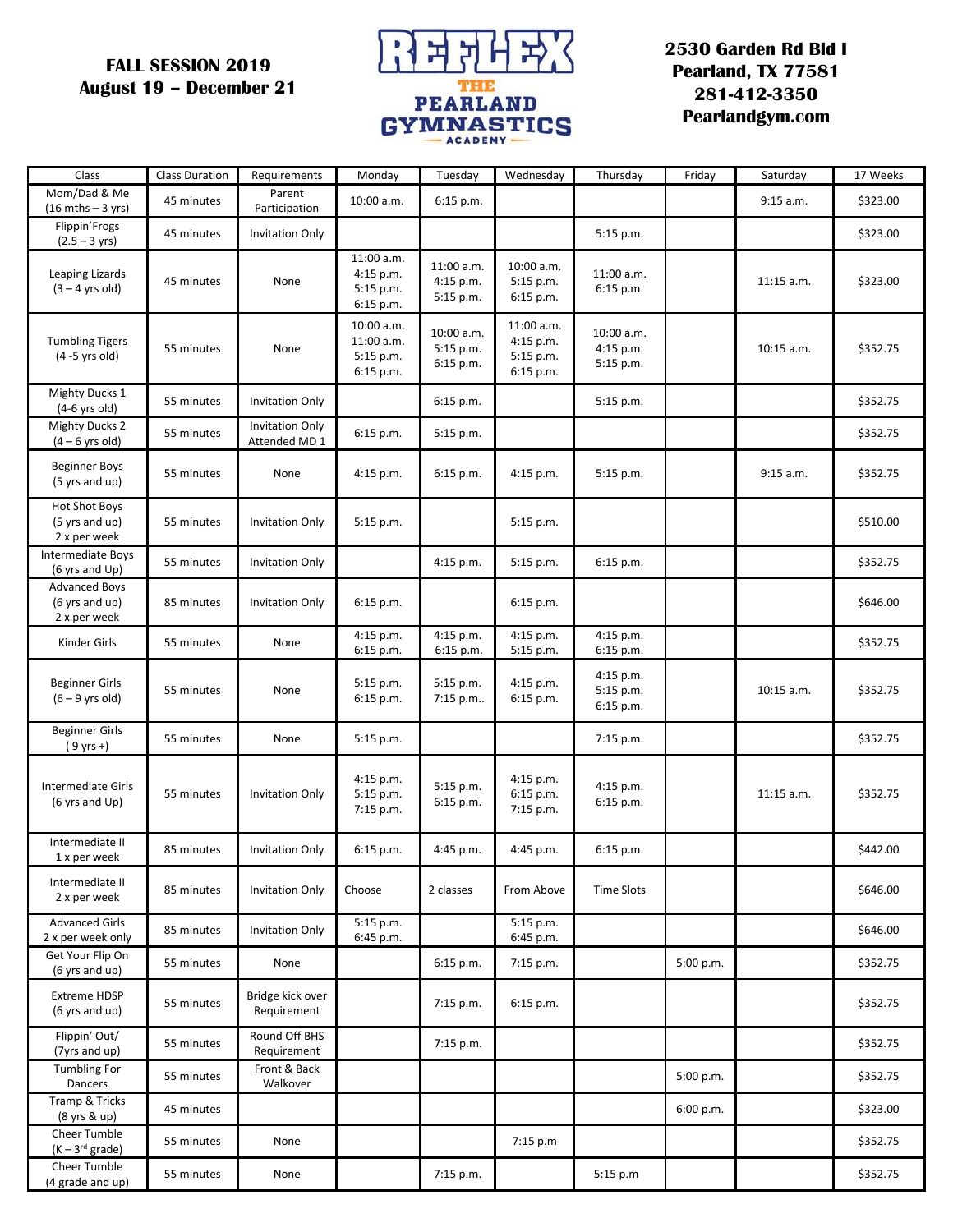## **FALL SESSION 2019 August 19 – December 21**



## **2530 Garden Rd Bld I Pearland, TX 77581 281-412-3350 Pearlandgym.com**

| Class                                                  | <b>Class Duration</b> | Requirements                            | Monday                                              | Tuesday                              | Wednesday                                         | Thursday                             | Friday    | Saturday     | 17 Weeks |
|--------------------------------------------------------|-----------------------|-----------------------------------------|-----------------------------------------------------|--------------------------------------|---------------------------------------------------|--------------------------------------|-----------|--------------|----------|
| Mom/Dad & Me<br>$(16 \text{ mths} - 3 \text{ yrs})$    | 45 minutes            | Parent<br>Participation                 | 10:00 a.m.                                          | 6:15 p.m.                            |                                                   |                                      |           | 9:15 a.m.    | \$323.00 |
| Flippin'Frogs<br>$(2.5 - 3 \text{ yrs})$               | 45 minutes            | <b>Invitation Only</b>                  |                                                     |                                      |                                                   | 5:15 p.m.                            |           |              | \$323.00 |
| Leaping Lizards<br>$(3 - 4$ yrs old)                   | 45 minutes            | None                                    | 11:00 a.m.<br>$4:15$ p.m.<br>5:15 p.m.<br>6:15 p.m. | 11:00 a.m.<br>4:15 p.m.<br>5:15 p.m. | 10:00 a.m.<br>5:15 p.m.<br>6:15 p.m.              | 11:00 a.m.<br>6:15 p.m.              |           | $11:15$ a.m. | \$323.00 |
| <b>Tumbling Tigers</b><br>$(4 - 5$ yrs old)            | 55 minutes            | None                                    | 10:00 a.m.<br>11:00 a.m.<br>5:15 p.m.<br>6:15 p.m.  | 10:00 a.m.<br>5:15 p.m.<br>6:15 p.m. | 11:00 a.m.<br>4:15 p.m.<br>5:15 p.m.<br>6:15 p.m. | 10:00 a.m.<br>4:15 p.m.<br>5:15 p.m. |           | 10:15 a.m.   | \$352.75 |
| Mighty Ducks 1<br>$(4-6$ yrs old)                      | 55 minutes            | <b>Invitation Only</b>                  |                                                     | 6:15 p.m.                            |                                                   | 5:15 p.m.                            |           |              | \$352.75 |
| <b>Mighty Ducks 2</b><br>$(4-6$ yrs old)               | 55 minutes            | <b>Invitation Only</b><br>Attended MD 1 | 6:15 p.m.                                           | 5:15 p.m.                            |                                                   |                                      |           |              | \$352.75 |
| <b>Beginner Boys</b><br>(5 yrs and up)                 | 55 minutes            | None                                    | $4:15$ p.m.                                         | $6:15$ p.m.                          | 4:15 p.m.                                         | 5:15 p.m.                            |           | 9:15 a.m.    | \$352.75 |
| <b>Hot Shot Boys</b><br>(5 yrs and up)<br>2 x per week | 55 minutes            | <b>Invitation Only</b>                  | 5:15 p.m.                                           |                                      | 5:15 p.m.                                         |                                      |           |              | \$510.00 |
| Intermediate Boys<br>(6 yrs and Up)                    | 55 minutes            | <b>Invitation Only</b>                  |                                                     | 4:15 p.m.                            | 5:15 p.m.                                         | 6:15 p.m.                            |           |              | \$352.75 |
| <b>Advanced Boys</b><br>(6 yrs and up)<br>2 x per week | 85 minutes            | <b>Invitation Only</b>                  | $6:15$ p.m.                                         |                                      | 6:15 p.m.                                         |                                      |           |              | \$646.00 |
| Kinder Girls                                           | 55 minutes            | None                                    | 4:15 p.m.<br>6:15 p.m.                              | 4:15 p.m.<br>6:15 p.m.               | 4:15 p.m.<br>5:15 p.m.                            | 4:15 p.m.<br>6:15 p.m.               |           |              | \$352.75 |
| Beginner Girls<br>$(6 - 9$ yrs old)                    | 55 minutes            | None                                    | 5:15 p.m.<br>6:15 p.m.                              | 5:15 p.m.<br>7:15 p.m                | 4:15 p.m.<br>6:15 p.m.                            | 4:15 p.m.<br>5:15 p.m.<br>6:15 p.m.  |           | 10:15 a.m.   | \$352.75 |
| <b>Beginner Girls</b><br>$(9 \text{ yrs +})$           | 55 minutes            | None                                    | 5:15 p.m.                                           |                                      |                                                   | 7:15 p.m.                            |           |              | \$352.75 |
| Intermediate Girls<br>(6 yrs and Up)                   | 55 minutes            | <b>Invitation Only</b>                  | 4:15 p.m.<br>$5:15$ p.m.<br>7:15 p.m.               | 5:15 p.m.<br>6:15 p.m.               | 4:15 p.m.<br>6:15 p.m.<br>7:15 p.m.               | 4:15 p.m.<br>6:15 p.m.               |           | $11:15$ a.m. | \$352.75 |
| Intermediate II<br>1 x per week                        | 85 minutes            | <b>Invitation Only</b>                  | 6:15 p.m.                                           | 4:45 p.m.                            | 4:45 p.m.                                         | 6:15 p.m.                            |           |              | \$442.00 |
| Intermediate II<br>2 x per week                        | 85 minutes            | <b>Invitation Only</b>                  | Choose                                              | 2 classes                            | From Above                                        | <b>Time Slots</b>                    |           |              | \$646.00 |
| <b>Advanced Girls</b><br>2 x per week only             | 85 minutes            | Invitation Only                         | 5:15 p.m.<br>6:45 p.m.                              |                                      | 5:15 p.m.<br>6:45 p.m.                            |                                      |           |              | \$646.00 |
| Get Your Flip On<br>(6 yrs and up)                     | 55 minutes            | None                                    |                                                     | 6:15 p.m.                            | 7:15 p.m.                                         |                                      | 5:00 p.m. |              | \$352.75 |
| <b>Extreme HDSP</b><br>(6 yrs and up)                  | 55 minutes            | Bridge kick over<br>Requirement         |                                                     | 7:15 p.m.                            | 6:15 p.m.                                         |                                      |           |              | \$352.75 |
| Flippin' Out/<br>(7yrs and up)                         | 55 minutes            | Round Off BHS<br>Requirement            |                                                     | 7:15 p.m.                            |                                                   |                                      |           |              | \$352.75 |
| Tumbling For<br>Dancers                                | 55 minutes            | Front & Back<br>Walkover                |                                                     |                                      |                                                   |                                      | 5:00 p.m. |              | \$352.75 |
| Tramp & Tricks<br>(8 yrs & up)                         | 45 minutes            |                                         |                                                     |                                      |                                                   |                                      | 6:00 p.m. |              | \$323.00 |
| Cheer Tumble<br>$(K-3^{rd}$ grade)                     | 55 minutes            | None                                    |                                                     |                                      | 7:15 p.m                                          |                                      |           |              | \$352.75 |
| Cheer Tumble<br>(4 grade and up)                       | 55 minutes            | None                                    |                                                     | 7:15 p.m.                            |                                                   | 5:15 p.m                             |           |              | \$352.75 |